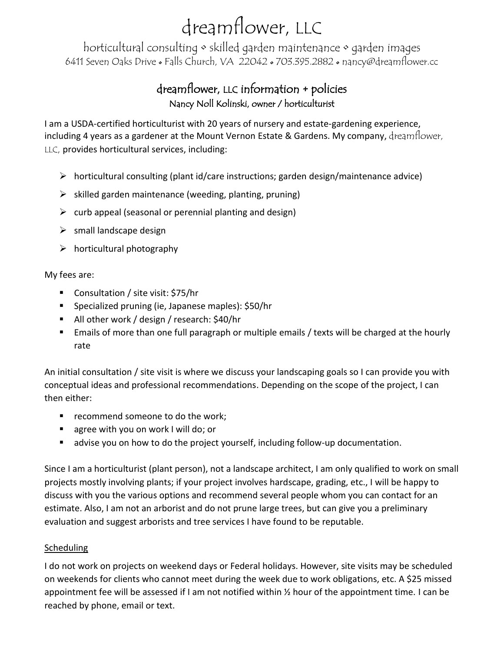## dreamflower, LLC

horticultural consulting • skilled garden maintenance • garden images 6411 Seven Oaks Drive • Falls Church, VA 22042 • 703.395.2882 • nancy@dreamflower.cc

### dreamflower, LLC information + policies Nancy Noll Kolinski, owner / horticulturist

I am a USDA-certified horticulturist with 20 years of nursery and estate-gardening experience, including 4 years as a gardener at the Mount Vernon Estate & Gardens. My company, dreamflower, LLC, provides horticultural services, including:

- ➢ horticultural consulting (plant id/care instructions; garden design/maintenance advice)
- $\triangleright$  skilled garden maintenance (weeding, planting, pruning)
- $\triangleright$  curb appeal (seasonal or perennial planting and design)
- $\triangleright$  small landscape design
- $\triangleright$  horticultural photography

My fees are:

- Consultation / site visit: \$75/hr
- Specialized pruning (ie, Japanese maples): \$50/hr
- All other work / design / research: \$40/hr
- Emails of more than one full paragraph or multiple emails / texts will be charged at the hourly rate

An initial consultation / site visit is where we discuss your landscaping goals so I can provide you with conceptual ideas and professional recommendations. Depending on the scope of the project, I can then either:

- recommend someone to do the work;
- agree with you on work I will do; or
- advise you on how to do the project yourself, including follow-up documentation.

Since I am a horticulturist (plant person), not a landscape architect, I am only qualified to work on small projects mostly involving plants; if your project involves hardscape, grading, etc., I will be happy to discuss with you the various options and recommend several people whom you can contact for an estimate. Also, I am not an arborist and do not prune large trees, but can give you a preliminary evaluation and suggest arborists and tree services I have found to be reputable.

### Scheduling

I do not work on projects on weekend days or Federal holidays. However, site visits may be scheduled on weekends for clients who cannot meet during the week due to work obligations, etc. A \$25 missed appointment fee will be assessed if I am not notified within  $\frac{1}{2}$  hour of the appointment time. I can be reached by phone, email or text.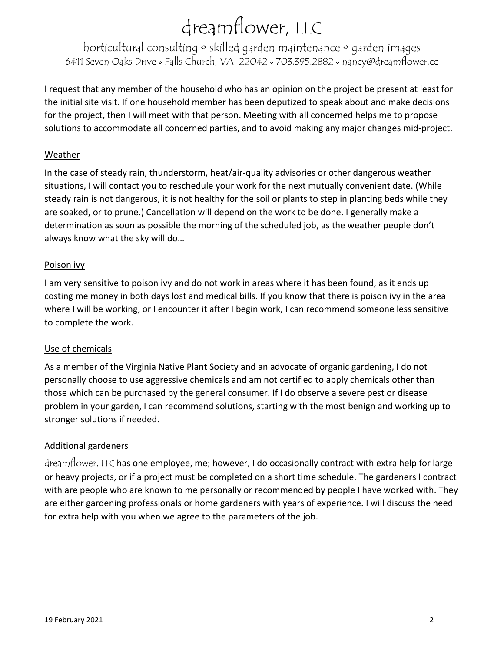# dreamflower, LLC

horticultural consulting • skilled garden maintenance • garden images 6411 Seven Oaks Drive • Falls Church, VA 22042 • 703.395.2882 • nancy@dreamflower.cc

I request that any member of the household who has an opinion on the project be present at least for the initial site visit. If one household member has been deputized to speak about and make decisions for the project, then I will meet with that person. Meeting with all concerned helps me to propose solutions to accommodate all concerned parties, and to avoid making any major changes mid-project.

#### Weather

In the case of steady rain, thunderstorm, heat/air-quality advisories or other dangerous weather situations, I will contact you to reschedule your work for the next mutually convenient date. (While steady rain is not dangerous, it is not healthy for the soil or plants to step in planting beds while they are soaked, or to prune.) Cancellation will depend on the work to be done. I generally make a determination as soon as possible the morning of the scheduled job, as the weather people don't always know what the sky will do…

#### Poison ivy

I am very sensitive to poison ivy and do not work in areas where it has been found, as it ends up costing me money in both days lost and medical bills. If you know that there is poison ivy in the area where I will be working, or I encounter it after I begin work, I can recommend someone less sensitive to complete the work.

#### Use of chemicals

As a member of the Virginia Native Plant Society and an advocate of organic gardening, I do not personally choose to use aggressive chemicals and am not certified to apply chemicals other than those which can be purchased by the general consumer. If I do observe a severe pest or disease problem in your garden, I can recommend solutions, starting with the most benign and working up to stronger solutions if needed.

### Additional gardeners

dreamflower, LLC has one employee, me; however, I do occasionally contract with extra help for large or heavy projects, or if a project must be completed on a short time schedule. The gardeners I contract with are people who are known to me personally or recommended by people I have worked with. They are either gardening professionals or home gardeners with years of experience. I will discuss the need for extra help with you when we agree to the parameters of the job.